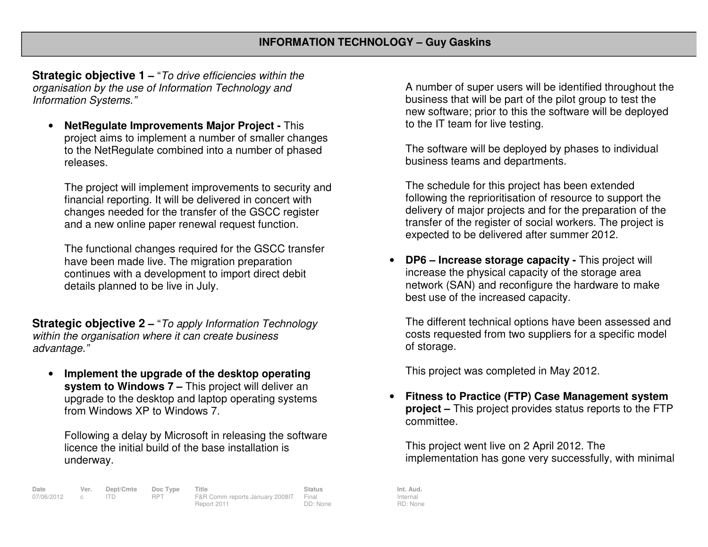**Strategic objective 1 –** "To drive efficiencies within the organisation by the use of Information Technology and Information Systems."

• **NetRegulate Improvements Major Project -** This project aims to implement a number of smaller changes to the NetRegulate combined into a number of phasedreleases.

The project will implement improvements to security and financial reporting. It will be delivered in concert with changes needed for the transfer of the GSCC register and a new online paper renewal request function.

The functional changes required for the GSCC transfer have been made live. The migration preparation continues with a development to import direct debitdetails planned to be live in July.

**Strategic objective 2 –** "To apply Information Technology within the organisation where it can create business advantage."

• **Implement the upgrade of the desktop operating system to Windows 7 –** This project will deliver an upgrade to the desktop and laptop operating systemsfrom Windows XP to Windows 7.

Following a delay by Microsoft in releasing the software licence the initial build of the base installation is underway.

**Date Ver. Dept/Cmte Doc Type Title Status Status Int. Aud.**<br>07/06/2012 c ITD RPT F&R Comm reports January 2008 | Final Internal Internal 07/06/2012 c ITD RPT F&R Comm reports January 2008IT Final Report 2011 DD: None

A number of super users will be identified throughout the business that will be part of the pilot group to test the new software; prior to this the software will be deployed to the IT team for live testing.

The software will be deployed by phases to individual business teams and departments.

The schedule for this project has been extended following the reprioritisation of resource to support the delivery of major projects and for the preparation of the transfer of the register of social workers. The project is expected to be delivered after summer 2012.

•**DP6 – Increase storage capacity - This project will** increase the physical capacity of the storage area network (SAN) and reconfigure the hardware to make best use of the increased capacity.

The different technical options have been assessed and costs requested from two suppliers for a specific model of storage.

This project was completed in May 2012.

• **Fitness to Practice (FTP) Case Management system project –** This project provides status reports to the FTP committee.

This project went live on 2 April 2012. The implementation has gone very successfully, with minimal

Internal RD: None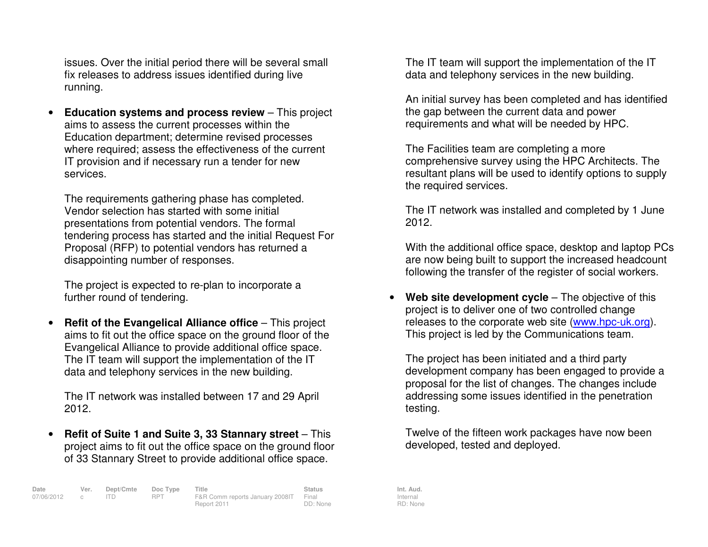issues. Over the initial period there will be several small fix releases to address issues identified during live running.

• **Education systems and process review** – This project aims to assess the current processes within the Education department; determine revised processes where required; assess the effectiveness of the current IT provision and if necessary run a tender for new services.

The requirements gathering phase has completed. Vendor selection has started with some initial presentations from potential vendors. The formal tendering process has started and the initial Request For Proposal (RFP) to potential vendors has returned a disappointing number of responses.

The project is expected to re-plan to incorporate afurther round of tendering.

•**Refit of the Evangelical Alliance office** – This project aims to fit out the office space on the ground floor of the Evangelical Alliance to provide additional office space. The IT team will support the implementation of the IT data and telephony services in the new building.

The IT network was installed between 17 and 29 April 2012.

• **Refit of Suite 1 and Suite 3, 33 Stannary street** – This project aims to fit out the office space on the ground floor of 33 Stannary Street to provide additional office space.

**Date Ver. Dept/Cmte Doc Type Title Status Status Int. Aud.**<br>17 RPT F&R Comm reports January 2008 IT Final Internal Internal 07/06/2012 c ITD RPT F&R Comm reports January 2008IT Final Report 2011 DD: None

The IT team will support the implementation of the IT data and telephony services in the new building.

An initial survey has been completed and has identified the gap between the current data and power requirements and what will be needed by HPC.

The Facilities team are completing a more comprehensive survey using the HPC Architects. The resultant plans will be used to identify options to supply the required services.

The IT network was installed and completed by 1 June 2012.

With the additional office space, desktop and laptop PCs are now being built to support the increased headcount following the transfer of the register of social workers.

•**Web site development cycle** – The objective of this project is to deliver one of two controlled change releases to the corporate web site (www.hpc-uk.org). This project is led by the Communications team.

The project has been initiated and a third party development company has been engaged to provide a proposal for the list of changes. The changes include addressing some issues identified in the penetration testing.

Twelve of the fifteen work packages have now been developed, tested and deployed.

Internal RD: None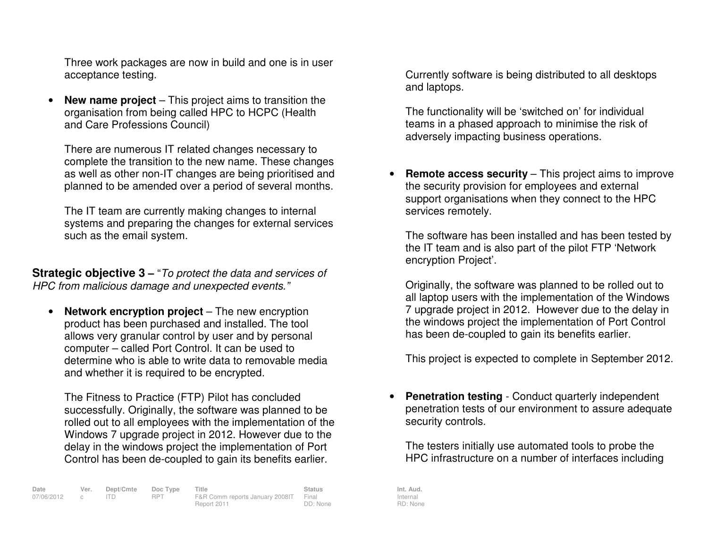Three work packages are now in build and one is in user acceptance testing.

• **New name project** – This project aims to transition the organisation from being called HPC to HCPC (Health and Care Professions Council)

There are numerous IT related changes necessary to complete the transition to the new name. These changes as well as other non-IT changes are being prioritised and planned to be amended over a period of several months.

The IT team are currently making changes to internal systems and preparing the changes for external services such as the email system.

**Strategic objective 3** – "To protect the data and services of HPC from malicious damage and unexpected events."

• **Network encryption project** – The new encryption product has been purchased and installed. The tool allows very granular control by user and by personal computer – called Port Control. It can be used to determine who is able to write data to removable media and whether it is required to be encrypted.

The Fitness to Practice (FTP) Pilot has concluded successfully. Originally, the software was planned to be rolled out to all employees with the implementation of the Windows 7 upgrade project in 2012. However due to the delay in the windows project the implementation of Port Control has been de-coupled to gain its benefits earlier.

| Date         | Ver. | Dept/Cmte | Doc Type | Title                                 | <b>Status</b> | Int. Aud. |
|--------------|------|-----------|----------|---------------------------------------|---------------|-----------|
| 07/06/2012 c |      |           | RPT      | F&R Comm reports January 2008IT Final |               | Internal  |
|              |      |           |          | Report 2011                           | DD: None      | RD: Non   |

Currently software is being distributed to all desktops and laptops.

The functionality will be 'switched on' for individual teams in a phased approach to minimise the risk of adversely impacting business operations.

• **Remote access security** – This project aims to improve the security provision for employees and external support organisations when they connect to the HPC services remotely.

The software has been installed and has been tested by the IT team and is also part of the pilot FTP 'Network encryption Project'.

Originally, the software was planned to be rolled out to all laptop users with the implementation of the Windows 7 upgrade project in 2012. However due to the delay in the windows project the implementation of Port Control has been de-coupled to gain its benefits earlier.

This project is expected to complete in September 2012.

• **Penetration testing** - Conduct quarterly independent penetration tests of our environment to assure adequate security controls.

The testers initially use automated tools to probe the HPC infrastructure on a number of interfaces including

Internal RD: None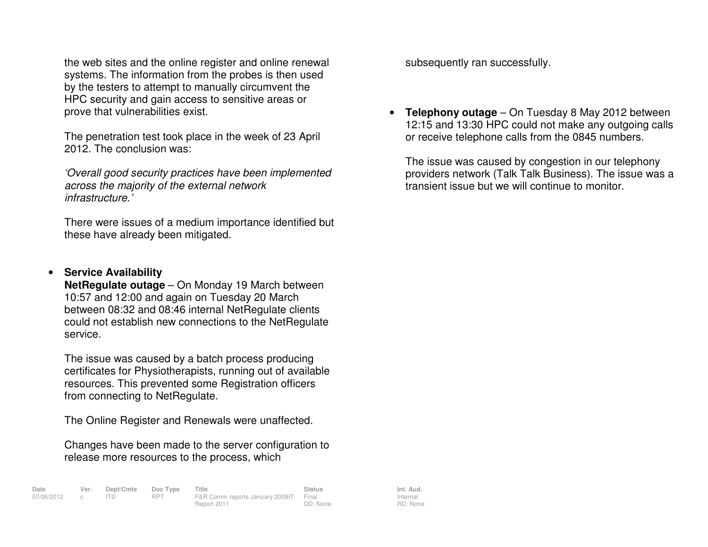the web sites and the online register and online renewal systems. The information from the probes is then used by the testers to attempt to manually circumvent the HPC security and gain access to sensitive areas or prove that vulnerabilities exist.

The penetration test took place in the week of 23 April 2012. The conclusion was:

'Overall good security practices have been implemented across the majority of the external network infrastructure.'

There were issues of a medium importance identified but these have already been mitigated.

## •**Service Availability**

**NetRegulate outage** – On Monday 19 March between 10:57 and 12:00 and again on Tuesday 20 March between 08:32 and 08:46 internal NetRegulate clients could not establish new connections to the NetRegulate service.

The issue was caused by a batch process producing certificates for Physiotherapists, running out of available resources. This prevented some Registration officers from connecting to NetRegulate.

The Online Register and Renewals were unaffected.

07/06/2012 c ITD RPT F&R Comm reports January 2008IT Final

Changes have been made to the server configuration to release more resources to the process, which

Report 2011

subsequently ran successfully.

• **Telephony outage** – On Tuesday 8 May 2012 between 12:15 and 13:30 HPC could not make any outgoing calls or receive telephone calls from the 0845 numbers.

The issue was caused by congestion in our telephony providers network (Talk Talk Business). The issue was a transient issue but we will continue to monitor.

**Date Ver. Dept/Cmte Doc Type Title Status Status Int. Aud.**<br>17 RPT F&R Comm reports January 2008 IT Final Internal Internal Internal RD: None

DD: None